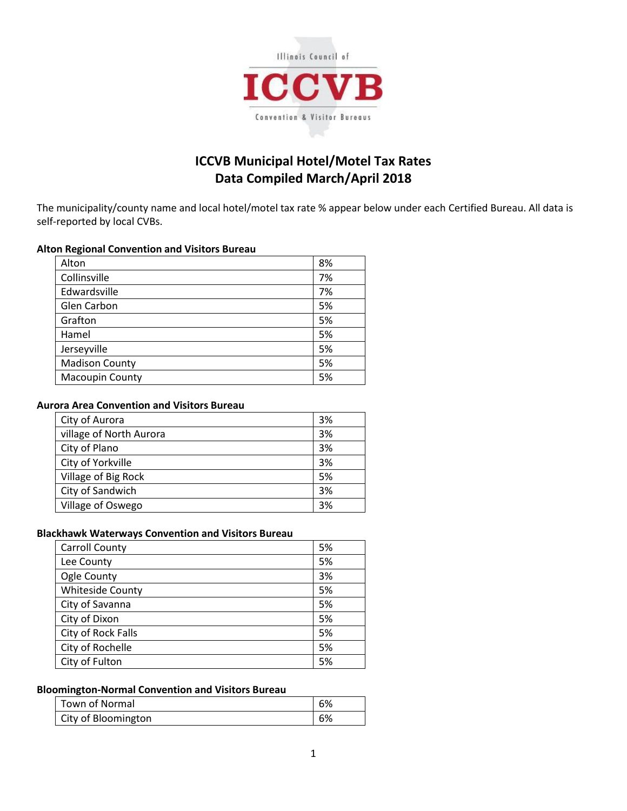

# **ICCVB Municipal Hotel/Motel Tax Rates Data Compiled March/April 2018**

The municipality/county name and local hotel/motel tax rate % appear below under each Certified Bureau. All data is self-reported by local CVBs.

#### **Alton Regional Convention and Visitors Bureau**

| Alton                  | 8% |
|------------------------|----|
| Collinsville           | 7% |
| Edwardsville           | 7% |
| Glen Carbon            | 5% |
| Grafton                | 5% |
| Hamel                  | 5% |
| Jerseyville            | 5% |
| <b>Madison County</b>  | 5% |
| <b>Macoupin County</b> | 5% |

## **Aurora Area Convention and Visitors Bureau**

| City of Aurora          | 3% |
|-------------------------|----|
| village of North Aurora | 3% |
| City of Plano           | 3% |
| City of Yorkville       | 3% |
| Village of Big Rock     | 5% |
| City of Sandwich        | 3% |
| Village of Oswego       | 3% |

#### **Blackhawk Waterways Convention and Visitors Bureau**

| <b>Carroll County</b>   | 5% |
|-------------------------|----|
| Lee County              | 5% |
| Ogle County             | 3% |
| <b>Whiteside County</b> | 5% |
| City of Savanna         | 5% |
| City of Dixon           | 5% |
| City of Rock Falls      | 5% |
| City of Rochelle        | 5% |
| City of Fulton          | 5% |

#### **Bloomington-Normal Convention and Visitors Bureau**

| Town of Normal      | 6% |
|---------------------|----|
| City of Bloomington | 6% |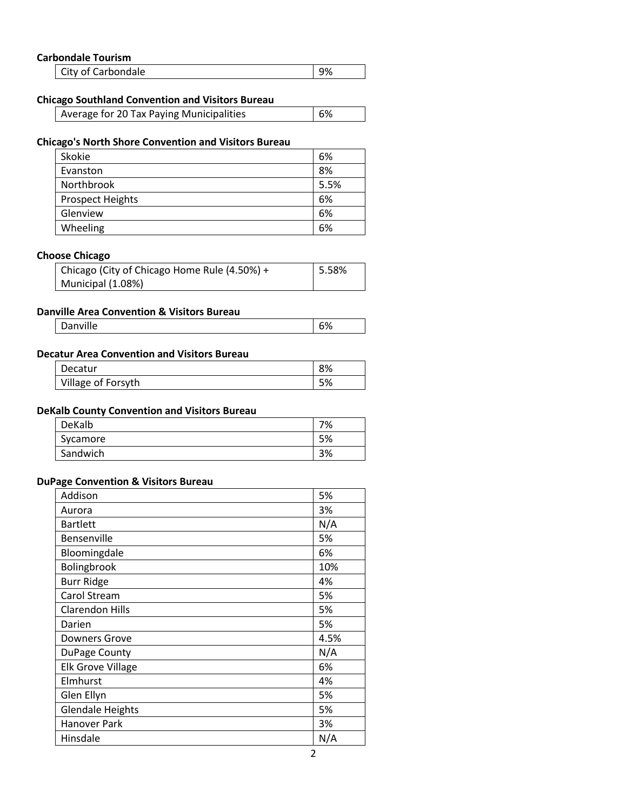#### **Carbondale Tourism**

| City of Carbondale | $\vert$ 9% |
|--------------------|------------|
|                    |            |

#### **Chicago Southland Convention and Visitors Bureau**

| Average for 20 Tax Paying Municipalities | $\overline{6\%}$ |
|------------------------------------------|------------------|
|------------------------------------------|------------------|

## **Chicago's North Shore Convention and Visitors Bureau**

| Skokie                  | 6%   |
|-------------------------|------|
| Evanston                | 8%   |
| Northbrook              | 5.5% |
| <b>Prospect Heights</b> | 6%   |
| Glenview                | 6%   |
| Wheeling                | 6%   |

#### **Choose Chicago**

| Chicago (City of Chicago Home Rule (4.50%) + | $\vert$ 5.58% |
|----------------------------------------------|---------------|
| Municipal (1.08%)                            |               |

# **Danville Area Convention & Visitors Bureau**

| <br>$\sim$ 0.<br>Danville<br>70 |
|---------------------------------|
|---------------------------------|

#### **Decatur Area Convention and Visitors Bureau**

| Decatur            | 8% |
|--------------------|----|
| Village of Forsyth | 5% |

#### **DeKalb County Convention and Visitors Bureau**

| DeKalb   | 7% |
|----------|----|
| Sycamore | 5% |
| Sandwich | 3% |

#### **DuPage Convention & Visitors Bureau**

| Addison                  | 5%   |
|--------------------------|------|
| Aurora                   | 3%   |
| <b>Bartlett</b>          | N/A  |
| Bensenville              | 5%   |
| Bloomingdale             | 6%   |
| Bolingbrook              | 10%  |
| <b>Burr Ridge</b>        | 4%   |
| Carol Stream             | 5%   |
| <b>Clarendon Hills</b>   | 5%   |
| Darien                   | 5%   |
| <b>Downers Grove</b>     | 4.5% |
| DuPage County            | N/A  |
| <b>Elk Grove Village</b> | 6%   |
| Elmhurst                 | 4%   |
| Glen Ellyn               | 5%   |
| <b>Glendale Heights</b>  | 5%   |
| <b>Hanover Park</b>      | 3%   |
| Hinsdale                 | N/A  |

 $\overline{\phantom{a}}$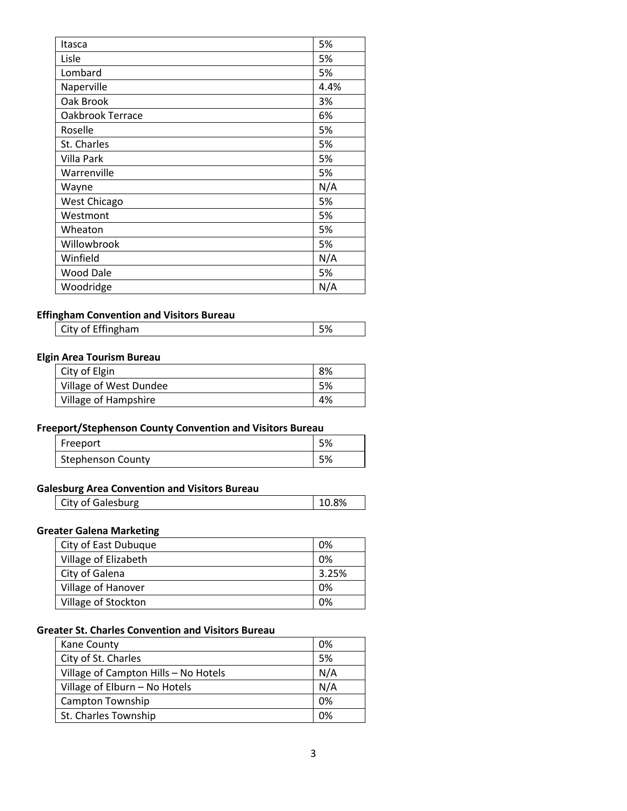| Itasca              | 5%   |
|---------------------|------|
| Lisle               | 5%   |
| Lombard             | 5%   |
| Naperville          | 4.4% |
| Oak Brook           | 3%   |
| Oakbrook Terrace    | 6%   |
| Roselle             | 5%   |
| St. Charles         | 5%   |
| Villa Park          | 5%   |
| Warrenville         | 5%   |
| Wayne               | N/A  |
| <b>West Chicago</b> | 5%   |
| Westmont            | 5%   |
| Wheaton             | 5%   |
| Willowbrook         | 5%   |
| Winfield            | N/A  |
| Wood Dale           | 5%   |
| Woodridge           | N/A  |

#### **Effingham Convention and Visitors Bureau**

| City of Effingham | 5% |
|-------------------|----|
|-------------------|----|

#### **Elgin Area Tourism Bureau**

| City of Elgin          | 8% |
|------------------------|----|
| Village of West Dundee | 5% |
| Village of Hampshire   | 4% |

# **Freeport/Stephenson County Convention and Visitors Bureau**

| Freeport          | 5% |
|-------------------|----|
| Stephenson County | 5% |

#### **Galesburg Area Convention and Visitors Bureau**

| Galesburg<br>v<br>- 6 1 T | √חכ |
|---------------------------|-----|
|---------------------------|-----|

# **Greater Galena Marketing**

| City of East Dubuque | 0%    |
|----------------------|-------|
| Village of Elizabeth | 0%    |
| City of Galena       | 3.25% |
| Village of Hanover   | 0%    |
| Village of Stockton  | 0%    |

#### **Greater St. Charles Convention and Visitors Bureau**

| Kane County                          | 0%  |
|--------------------------------------|-----|
| City of St. Charles                  | 5%  |
| Village of Campton Hills - No Hotels | N/A |
| Village of Elburn - No Hotels        | N/A |
| <b>Campton Township</b>              | 0%  |
| St. Charles Township                 | 0%  |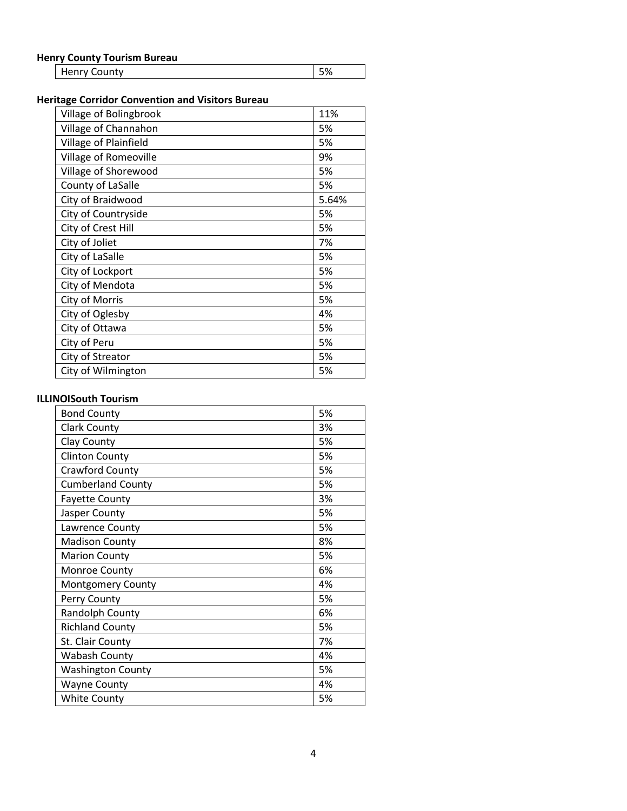# **Henry County Tourism Bureau**

| , Journ, roundin burcuu |  |
|-------------------------|--|
|                         |  |

# **Heritage Corridor Convention and Visitors Bureau**

| Village of Bolingbrook | 11%   |
|------------------------|-------|
| Village of Channahon   | 5%    |
| Village of Plainfield  | 5%    |
| Village of Romeoville  | 9%    |
| Village of Shorewood   | 5%    |
| County of LaSalle      | 5%    |
| City of Braidwood      | 5.64% |
| City of Countryside    | 5%    |
| City of Crest Hill     | 5%    |
| City of Joliet         | 7%    |
| City of LaSalle        | 5%    |
| City of Lockport       | 5%    |
| City of Mendota        | 5%    |
| City of Morris         | 5%    |
| City of Oglesby        | 4%    |
| City of Ottawa         | 5%    |
| City of Peru           | 5%    |
| City of Streator       | 5%    |
| City of Wilmington     | 5%    |

#### **ILLINOISouth Tourism**

| <b>Bond County</b>       | 5% |
|--------------------------|----|
| <b>Clark County</b>      | 3% |
| Clay County              | 5% |
| <b>Clinton County</b>    | 5% |
| <b>Crawford County</b>   | 5% |
| <b>Cumberland County</b> | 5% |
| <b>Fayette County</b>    | 3% |
| Jasper County            | 5% |
| Lawrence County          | 5% |
| <b>Madison County</b>    | 8% |
| <b>Marion County</b>     | 5% |
| <b>Monroe County</b>     | 6% |
| <b>Montgomery County</b> | 4% |
| Perry County             | 5% |
| Randolph County          | 6% |
| <b>Richland County</b>   | 5% |
| St. Clair County         | 7% |
| <b>Wabash County</b>     | 4% |
| <b>Washington County</b> | 5% |
| <b>Wayne County</b>      | 4% |
| <b>White County</b>      | 5% |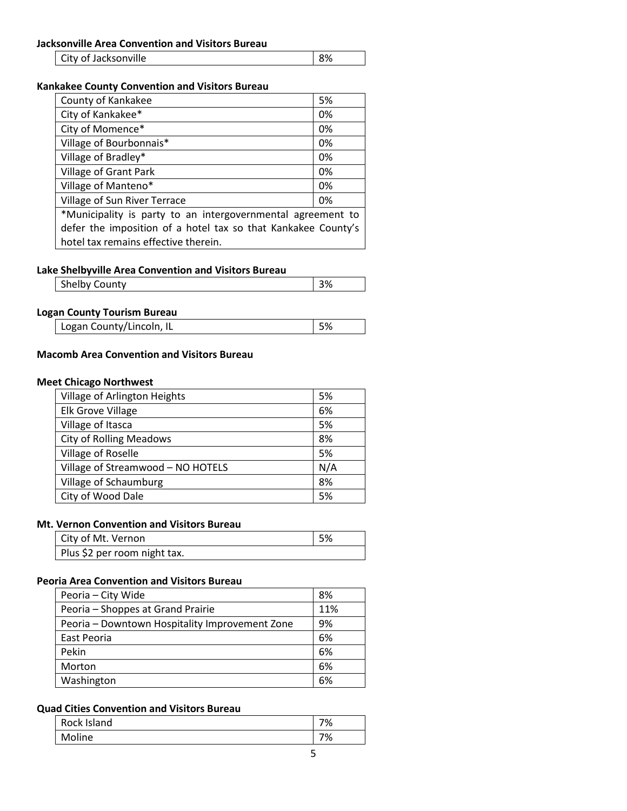| City of Jacksonville | 8% |
|----------------------|----|
|----------------------|----|

# **Kankakee County Convention and Visitors Bureau**

| County of Kankakee                                            | 5% |
|---------------------------------------------------------------|----|
| City of Kankakee*                                             | 0% |
| City of Momence*                                              | 0% |
| Village of Bourbonnais*                                       | 0% |
| Village of Bradley*                                           | 0% |
| Village of Grant Park                                         | 0% |
| Village of Manteno*                                           | 0% |
| Village of Sun River Terrace                                  | 0% |
| *Municipality is party to an intergovernmental agreement to   |    |
| defer the imposition of a hotel tax so that Kankakee County's |    |
| hotel tax remains effective therein.                          |    |

### **Lake Shelbyville Area Convention and Visitors Bureau**

|  | <b>Shelby County</b> | ີ |
|--|----------------------|---|
|--|----------------------|---|

#### **Logan County Tourism Bureau**

| Logan County/Lincoln, IL | 5% |
|--------------------------|----|
|--------------------------|----|

# **Macomb Area Convention and Visitors Bureau**

### **Meet Chicago Northwest**

| 5%  |
|-----|
| 6%  |
| 5%  |
| 8%  |
| 5%  |
| N/A |
| 8%  |
|     |
| 5%  |

# **Mt. Vernon Convention and Visitors Bureau**

| City of Mt. Vernon           | - 5% |
|------------------------------|------|
| Plus \$2 per room night tax. |      |

# **Peoria Area Convention and Visitors Bureau**

| Peoria - City Wide                             | 8%  |
|------------------------------------------------|-----|
| Peoria - Shoppes at Grand Prairie              | 11% |
| Peoria - Downtown Hospitality Improvement Zone | 9%  |
| East Peoria                                    | 6%  |
| Pekin                                          | 6%  |
| Morton                                         | 6%  |
| Washington                                     | 6%  |

# **Quad Cities Convention and Visitors Bureau**

| Rock Island | 7% |
|-------------|----|
| Moline      | 7% |
|             |    |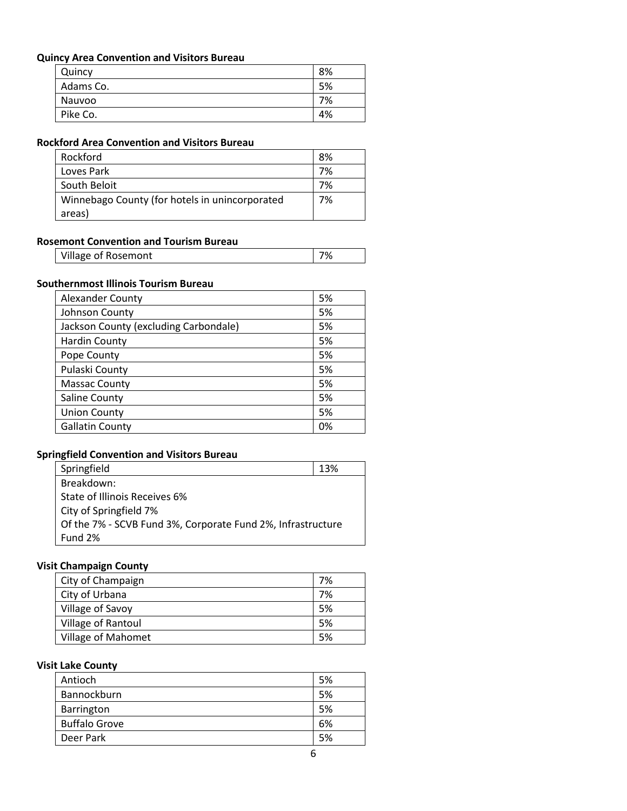#### **Quincy Area Convention and Visitors Bureau**

| Quincy    | 8% |
|-----------|----|
| Adams Co. | 5% |
| Nauvoo    | 7% |
| Pike Co.  | 4% |

### **Rockford Area Convention and Visitors Bureau**

| Rockford                                       | 8% |
|------------------------------------------------|----|
| Loves Park                                     | 7% |
| South Beloit                                   | 7% |
| Winnebago County (for hotels in unincorporated | 7% |
| areas)                                         |    |

#### **Rosemont Convention and Tourism Bureau**

| Village of Rosemont |  |
|---------------------|--|
|                     |  |

## **Southernmost Illinois Tourism Bureau**

 $\mathsf{l}$ 

| <b>Alexander County</b>               | 5% |
|---------------------------------------|----|
| Johnson County                        | 5% |
| Jackson County (excluding Carbondale) | 5% |
| <b>Hardin County</b>                  | 5% |
| Pope County                           | 5% |
| Pulaski County                        | 5% |
| <b>Massac County</b>                  | 5% |
| Saline County                         | 5% |
| <b>Union County</b>                   | 5% |
| <b>Gallatin County</b>                | 0% |

#### **Springfield Convention and Visitors Bureau**

| Springfield                                                 | 13% |
|-------------------------------------------------------------|-----|
| Breakdown:                                                  |     |
| State of Illinois Receives 6%                               |     |
| City of Springfield 7%                                      |     |
| Of the 7% - SCVB Fund 3%, Corporate Fund 2%, Infrastructure |     |
| Fund 2%                                                     |     |

## **Visit Champaign County**

| City of Champaign  | 7% |
|--------------------|----|
| City of Urbana     | 7% |
| Village of Savoy   | 5% |
| Village of Rantoul | 5% |
| Village of Mahomet | 5% |

# **Visit Lake County**

| Antioch              | 5% |
|----------------------|----|
| Bannockburn          | 5% |
| Barrington           | 5% |
| <b>Buffalo Grove</b> | 6% |
| Deer Park            | 5% |
|                      |    |